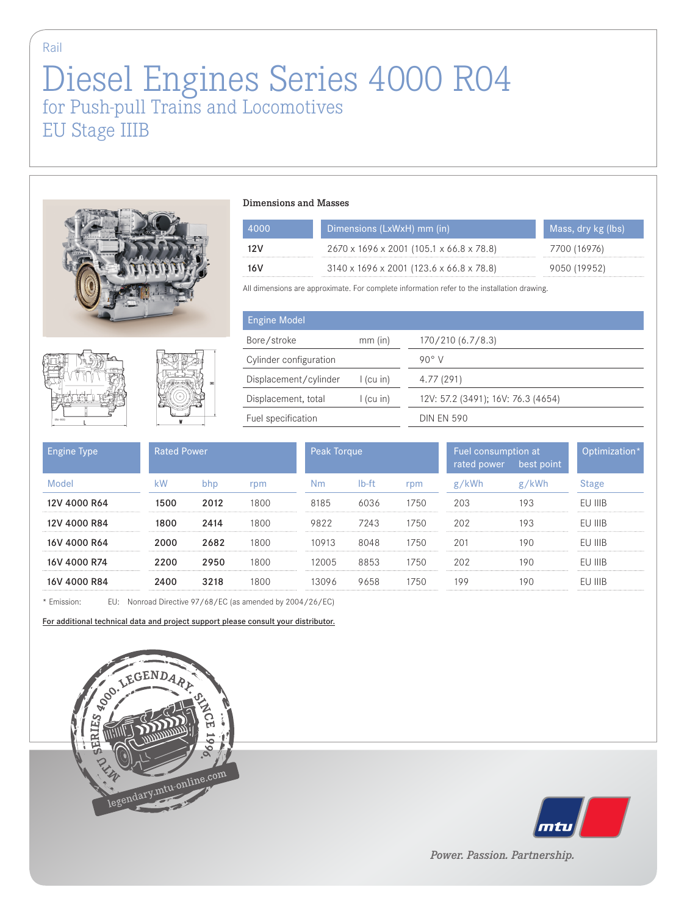# Diesel Engines Series 4000 R04 for Push-pull Trains and Locomotives EU Stage IIIB





Rail



#### Dimensions and Masses

| 4000 | Dimensions (LxWxH) mm (in)                           | l Mass, dry kg (lbs), |  |  |
|------|------------------------------------------------------|-----------------------|--|--|
| 12 V | $2670 \times 1696 \times 2001$ (105.1 x 66.8 x 78.8) | 7700 (16976)          |  |  |
| 16V  | $3140 \times 1696 \times 2001$ (123.6 x 66.8 x 78.8) | 9050 (19952)          |  |  |

All dimensions are approximate. For complete information refer to the installation drawing.

| <b>Engine Model</b>    |           |                                    |
|------------------------|-----------|------------------------------------|
| Bore/stroke            | $mm$ (in) | 170/210 (6.7/8.3)                  |
| Cylinder configuration |           | $90^\circ$ V                       |
| Displacement/cylinder  | (cu in)   | 4.77 (291)                         |
| Displacement, total    | l (cu in) | 12V: 57.2 (3491); 16V: 76.3 (4654) |
| Fuel specification     |           | <b>DIN EN 590</b>                  |

|              |       | <b>Rated Power</b> |      |        | Peak Torque |     |     | <b>Fuel consumption at</b><br>best point<br>rated power |       |
|--------------|-------|--------------------|------|--------|-------------|-----|-----|---------------------------------------------------------|-------|
|              |       |                    | `nm  | Nm     |             | rpm |     |                                                         |       |
| 12V 4000 R64 | 500   |                    |      | 8185   | 6036        | 750 | 203 |                                                         | -IIIR |
| 12V 4000 R84 | 800 B |                    | 800  | 9822   | 7243        | 750 | 202 |                                                         | -IIIR |
| 16V 4000 R64 |       | 2682               | 1800 | 10913  | 8048        | 750 | 201 |                                                         | -IIIR |
| 16V 4000 R74 |       | 2950               | 1800 | 12005. | 8853        | 750 | 202 |                                                         | -IIIB |
| 4000         |       |                    |      |        | 658         |     |     |                                                         | ШF    |

\* Emission: EU: Nonroad Directive 97/68/EC (as amended by 2004/26/EC)

For additional technical data and project support please consult your distributor.





*Power. Passion. Partnership.*